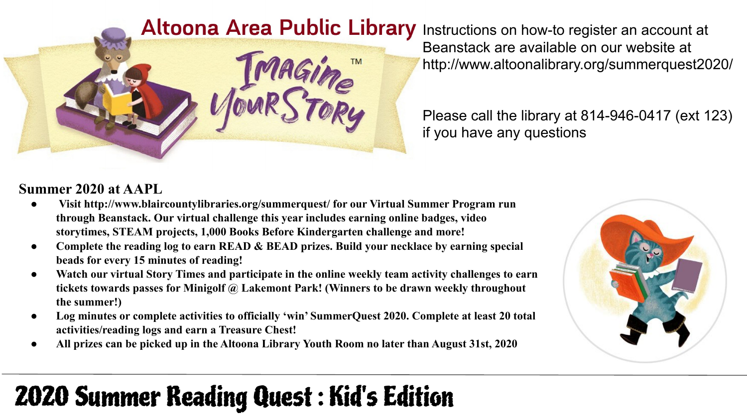#### **Altoona Area Public Library** Instructions on how-to register an account at



Beanstack are available on our website at http://www.altoonalibrary.org/summerquest2020/

Please call the library at 814-946-0417 (ext 123) if you have any questions

#### **Summer 2020 at AAPL**

- **● Visit http://www.blaircountylibraries.org/summerquest/ for our Virtual Summer Program run through Beanstack. Our virtual challenge this year includes earning online badges, video storytimes, STEAM projects, 1,000 Books Before Kindergarten challenge and more!**
- Complete the reading log to earn READ & BEAD prizes. Build your necklace by earning special **beads for every 15 minutes of reading!**
- **● Watch our virtual Story Times and participate in the online weekly team activity challenges to earn tickets towards passes for Minigolf @ Lakemont Park! (Winners to be drawn weekly throughout the summer!)**
- Log minutes or complete activities to officially 'win' SummerQuest 2020. Complete at least 20 total **activities/reading logs and earn a Treasure Chest!**
- **● All prizes can be picked up in the Altoona Library Youth Room no later than August 31st, 2020**



# 2020 Summer Reading Quest : Kid's Edition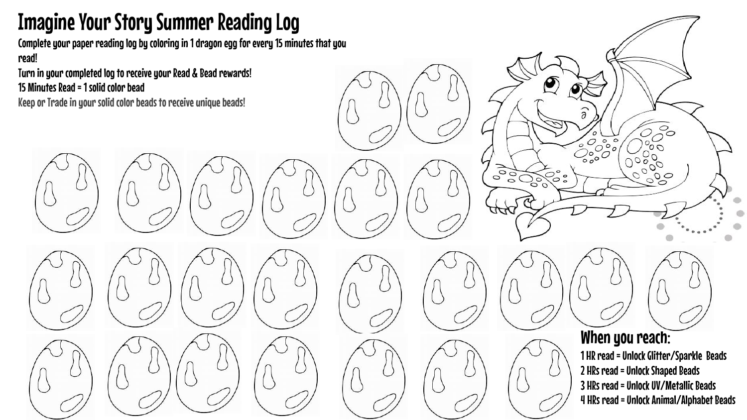## Imagine Your Story Summer Reading Log

Complete your paper reading log by coloring in 1 dragon egg for every 15 minutes that you read!

Turn in your completed log to receive your Read & Bead rewards! 15 Minutes Read = 1 solid color bead

Keep or Trade in your solid color beads to receive unique beads!







When you reach: 1 HR read = Unlock Glitter/Sparkle Beads 2 HRs read = Unlock Shaped Beads 3 HRs read = Unlock UV/Metallic Beads 4 HRs read = Unlock Animal/Alphabet Beads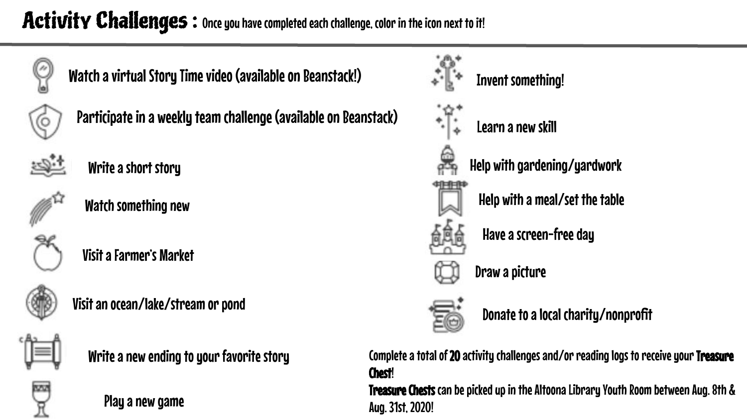### Activity Challenges: Once you have completed each challenge, color in the icon next to it!



Watch a virtual Story Time video (available on Beanstack!)



Participate in a weekly team challenge (available on Beanstack)



Write a short story



Watch something new



Visit a Farmer's Market



Visit an ocean/lake/stream or pond



Write a new ending to your favorite story

Play a new game



Complete a total of 20 activity challenges and/or reading logs to receive your Treasure Chest!

Treasure Chests can be picked up in the Altoona Library Youth Room between Aug. 8th & Aug. 31st, 2020!